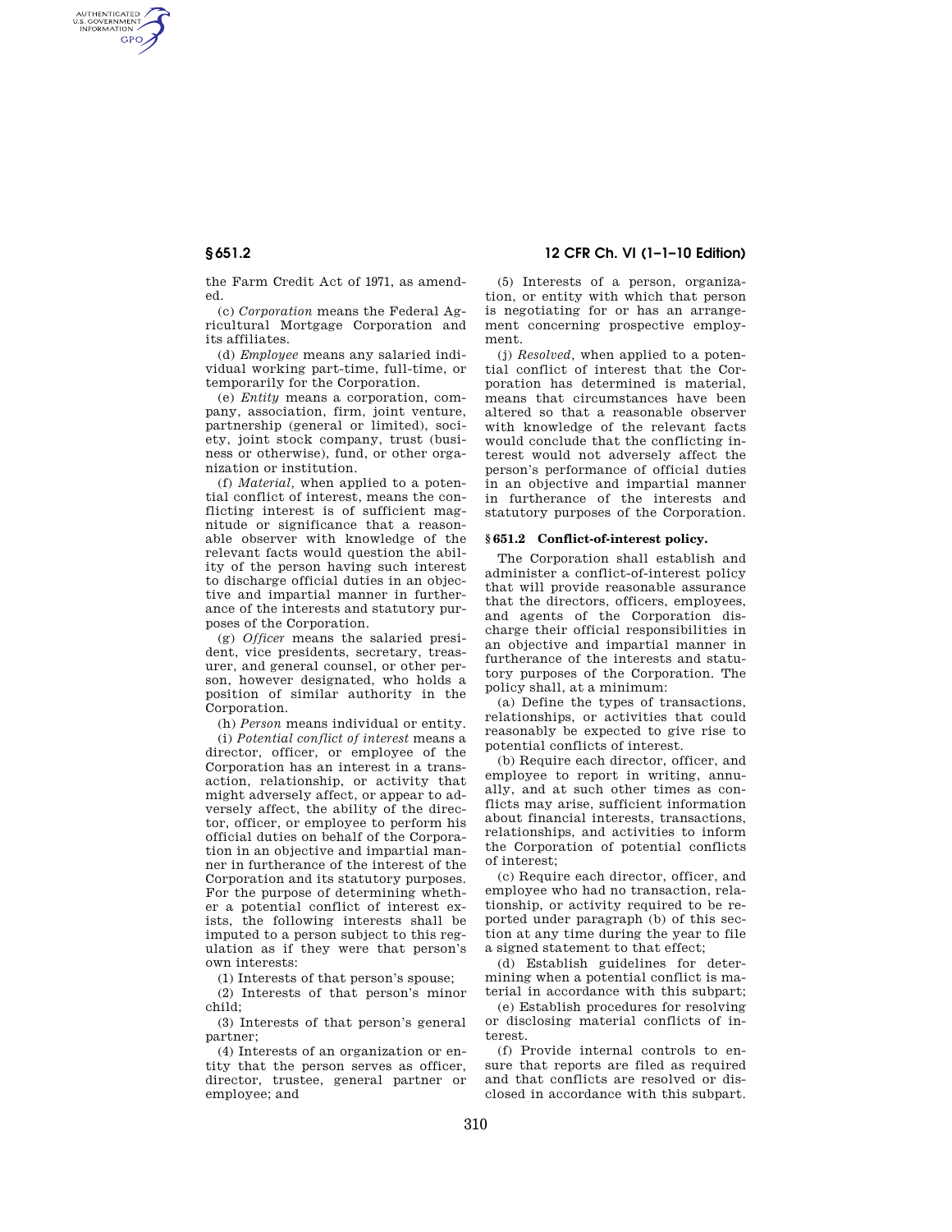AUTHENTICATED<br>U.S. GOVERNMENT<br>INFORMATION **GPO** 

> the Farm Credit Act of 1971, as amended.

> (c) *Corporation* means the Federal Agricultural Mortgage Corporation and its affiliates.

> (d) *Employee* means any salaried individual working part-time, full-time, or temporarily for the Corporation.

> (e) *Entity* means a corporation, company, association, firm, joint venture, partnership (general or limited), society, joint stock company, trust (business or otherwise), fund, or other organization or institution.

> (f) *Material,* when applied to a potential conflict of interest, means the conflicting interest is of sufficient magnitude or significance that a reasonable observer with knowledge of the relevant facts would question the ability of the person having such interest to discharge official duties in an objective and impartial manner in furtherance of the interests and statutory purposes of the Corporation.

> (g) *Officer* means the salaried president, vice presidents, secretary, treasurer, and general counsel, or other person, however designated, who holds a position of similar authority in the Corporation.

(h) *Person* means individual or entity.

(i) *Potential conflict of interest* means a director, officer, or employee of the Corporation has an interest in a transaction, relationship, or activity that might adversely affect, or appear to adversely affect, the ability of the director, officer, or employee to perform his official duties on behalf of the Corporation in an objective and impartial manner in furtherance of the interest of the Corporation and its statutory purposes. For the purpose of determining whether a potential conflict of interest exists, the following interests shall be imputed to a person subject to this regulation as if they were that person's own interests:

(1) Interests of that person's spouse;

(2) Interests of that person's minor child;

(3) Interests of that person's general partner;

(4) Interests of an organization or entity that the person serves as officer, director, trustee, general partner or employee; and

**§ 651.2 12 CFR Ch. VI (1–1–10 Edition)** 

(5) Interests of a person, organization, or entity with which that person is negotiating for or has an arrangement concerning prospective employment.

(j) *Resolved,* when applied to a potential conflict of interest that the Corporation has determined is material, means that circumstances have been altered so that a reasonable observer with knowledge of the relevant facts would conclude that the conflicting interest would not adversely affect the person's performance of official duties in an objective and impartial manner in furtherance of the interests and statutory purposes of the Corporation.

# **§ 651.2 Conflict-of-interest policy.**

The Corporation shall establish and administer a conflict-of-interest policy that will provide reasonable assurance that the directors, officers, employees, and agents of the Corporation discharge their official responsibilities in an objective and impartial manner in furtherance of the interests and statutory purposes of the Corporation. The policy shall, at a minimum:

(a) Define the types of transactions, relationships, or activities that could reasonably be expected to give rise to potential conflicts of interest.

(b) Require each director, officer, and employee to report in writing, annually, and at such other times as conflicts may arise, sufficient information about financial interests, transactions, relationships, and activities to inform the Corporation of potential conflicts of interest;

(c) Require each director, officer, and employee who had no transaction, relationship, or activity required to be reported under paragraph (b) of this section at any time during the year to file a signed statement to that effect;

(d) Establish guidelines for determining when a potential conflict is material in accordance with this subpart;

(e) Establish procedures for resolving or disclosing material conflicts of interest.

(f) Provide internal controls to ensure that reports are filed as required and that conflicts are resolved or disclosed in accordance with this subpart.